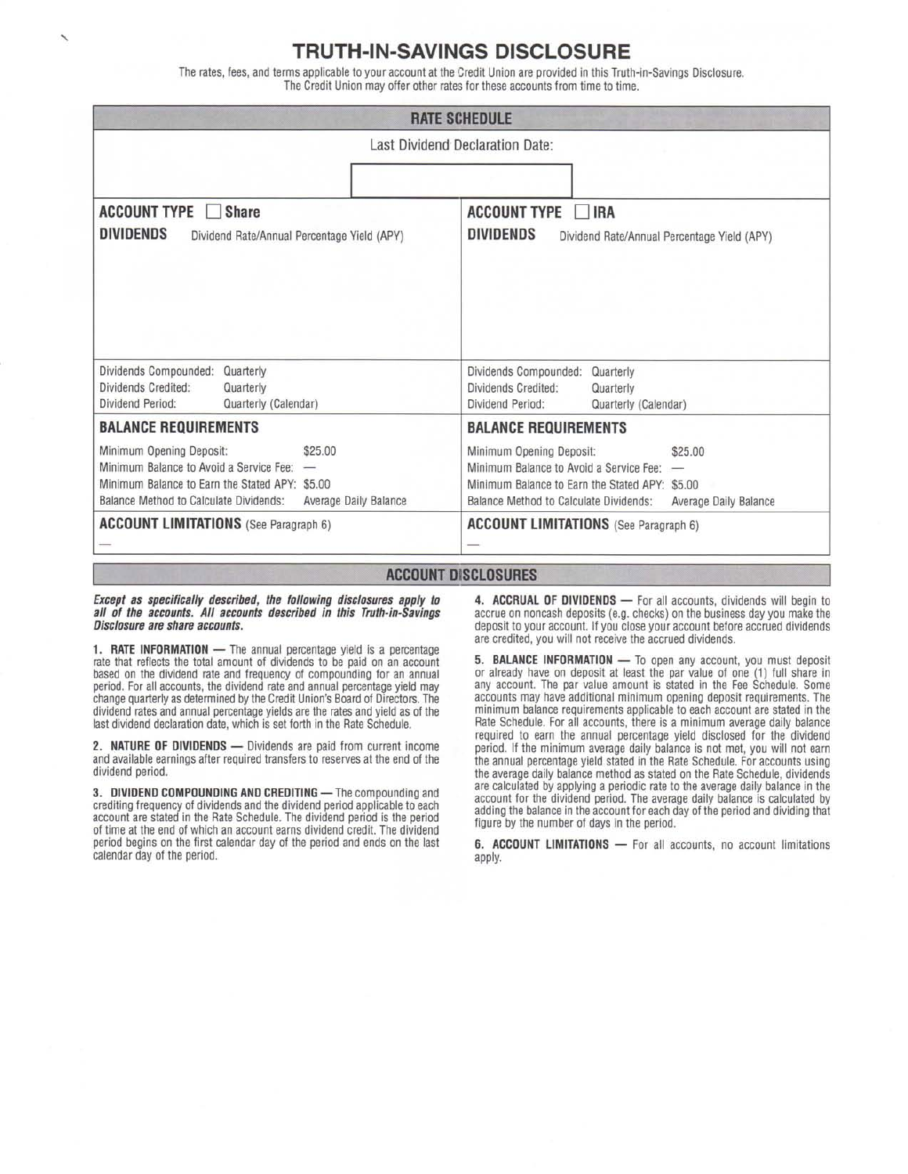### **TRUTH-IN-SAVINGS DISCLOSURE**

The rates, fees, and terms applicable to your account at the Credit Union are provided in this Truth-in-Savings Disclosure. The Credit Union may offer other rates for these accounts from time to time.

| <b>RATE SCHEDULE</b><br>Last Dividend Declaration Date:                                                                                                                                                  |                                                                                                                                                                                                       |
|----------------------------------------------------------------------------------------------------------------------------------------------------------------------------------------------------------|-------------------------------------------------------------------------------------------------------------------------------------------------------------------------------------------------------|
|                                                                                                                                                                                                          |                                                                                                                                                                                                       |
| Dividends Compounded:<br>Quarterly<br>Dividends Credited:<br>Quarterly<br>Dividend Period:<br>Quarterly (Calendar)                                                                                       | Dividends Compounded:<br>Quarterly<br>Dividends Credited:<br>Quarterly<br>Dividend Period:<br>Quarterly (Calendar)                                                                                    |
| <b>BALANCE REQUIREMENTS</b>                                                                                                                                                                              | <b>BALANCE REQUIREMENTS</b>                                                                                                                                                                           |
| Minimum Opening Deposit:<br>\$25.00<br>Minimum Balance to Avoid a Service Fee:<br>-<br>Minimum Balance to Earn the Stated APY: \$5.00<br>Balance Method to Calculate Dividends:<br>Average Daily Balance | Minimum Opening Deposit:<br>\$25.00<br>Minimum Balance to Avoid a Service Fee: -<br>Minimum Balance to Earn the Stated APY: \$5.00<br>Balance Method to Calculate Dividends:<br>Average Daily Balance |
| <b>ACCOUNT LIMITATIONS</b> (See Paragraph 6)                                                                                                                                                             | <b>ACCOUNT LIMITATIONS</b> (See Paragraph 6)                                                                                                                                                          |
|                                                                                                                                                                                                          | <b>ACCOUNT DISCLOSURES</b>                                                                                                                                                                            |

*Except as specifically described, the following disclosures apply to all of the accounts. All accounts described in this Truth-in-Savings Disclosure are share accounts.* 

**1. RATE INFORMATION —** The annual percentage yield is a percentage rate that reflects the total amount of dividends to be paid on an account based on the dividend rate and frequency of compounding for an annual period. For all accounts, the dividend rate and annual percentage yield may change quarterly as determined by the Credit Union's Board of Directors. The dividend rates and annual percentage yields are the rates and yield as of the last dividend declaration date, which is set forth in the Rate Schedule.

**2. NATURE OF DIVIDENDS —** Dividends are paid from current income and available earnings after required transfers to reserves at the end of the dividend period.

**3. DIVIDEND COMPOUNDING AND CREDITING —** The compounding and crediting frequency of dividends and the dividend period applicable to each account are stated in the Rate Schedule. The dividend period is the period of time at the end of which an account earns dividend credit. The dividend period begins on the first calendar day of the period and ends on the last calendar day of the period.

**4. ACCRUAL OF DIVIDENDS —** For all accounts, dividends will begin to accrue on noncash deposits (e.g. checks) on the business day you make the deposit to your account. If you close your account before accrued dividends are credited, you will not receive the accrued dividends.

**5. BALANCE INFORMATION —** To open any account, you must deposit or already have on deposit at least the par value of one (1) full share in any account. The par value amount is stated in the Fee Schedule. Some accounts may have additional minimum opening deposit requirements. The minimum balance requirements applicable to each account are stated in the Rate Schedule. For all accounts, there is a minimum average daily balance required to earn the annual percentage yield disclosed for the dividend period. If the minimum average daily balance is not met, you will not earn the annual percentage yield stated in the Rate Schedule. For accounts using the average daily balance method as stated on the Rate Schedule, dividends are calculated by applying a periodic rate to the average daily balance in the account for the dividend period. The average daily balance is calculated by adding the balance in the account for each day of the period and dividing that figure by the number of days in the period.

**6. ACCOUNT LIMITATIONS —** For all accounts, no account limitations apply.